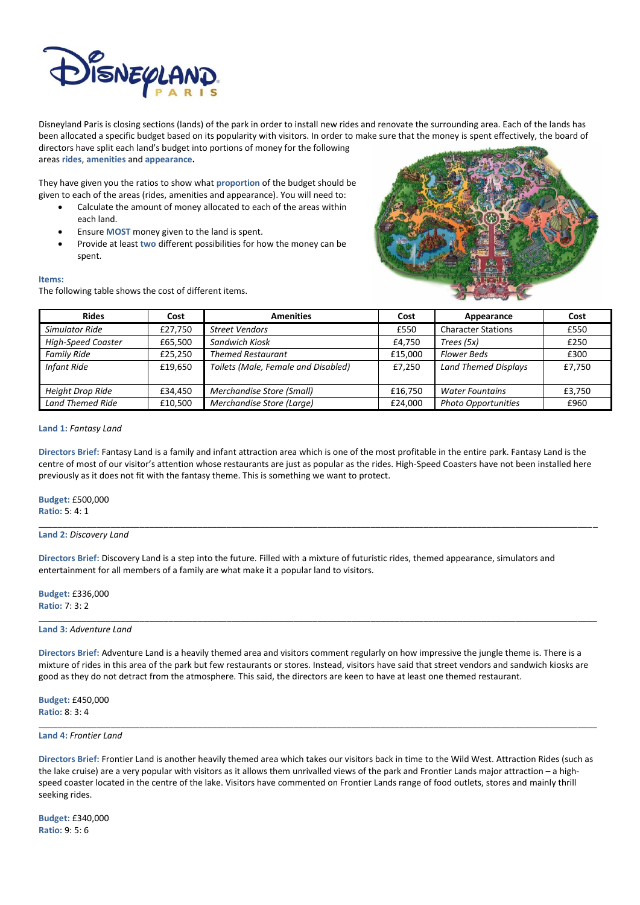

Disneyland Paris is closing sections (lands) of the park in order to install new rides and renovate the surrounding area. Each of the lands has been allocated a specific budget based on its popularity with visitors. In order to make sure that the money is spent effectively, the board of directors have split each land's budget into portions of money for the following areas **rides**, **amenities** and **appearance.** 

They have given you the ratios to show what **proportion** of the budget should be given to each of the areas (rides, amenities and appearance). You will need to:

- Calculate the amount of money allocated to each of the areas within each land.
- Ensure **MOST** money given to the land is spent.
- Provide at least **two** different possibilities for how the money can be spent.



#### **Items:**

The following table shows the cost of different items.

| <b>Rides</b>              | Cost    | <b>Amenities</b>                    | Cost    | Appearance                  | Cost   |
|---------------------------|---------|-------------------------------------|---------|-----------------------------|--------|
| Simulator Ride            | £27.750 | <b>Street Vendors</b>               | £550    | <b>Character Stations</b>   | £550   |
| <b>High-Speed Coaster</b> | £65.500 | Sandwich Kiosk                      | £4.750  | Trees (5x)                  | £250   |
| <b>Family Ride</b>        | £25.250 | <b>Themed Restaurant</b>            | £15,000 | <b>Flower Beds</b>          | £300   |
| <b>Infant Ride</b>        | £19.650 | Toilets (Male, Female and Disabled) | £7,250  | <b>Land Themed Displays</b> | £7,750 |
|                           |         |                                     |         |                             |        |
| <b>Height Drop Ride</b>   | £34.450 | Merchandise Store (Small)           | £16.750 | <b>Water Fountains</b>      | £3,750 |
| Land Themed Ride          | £10.500 | Merchandise Store (Large)           | £24.000 | <b>Photo Opportunities</b>  | £960   |

# **Land 1:** *Fantasy Land*

**Directors Brief:** Fantasy Land is a family and infant attraction area which is one of the most profitable in the entire park. Fantasy Land is the centre of most of our visitor's attention whose restaurants are just as popular as the rides. High-Speed Coasters have not been installed here previously as it does not fit with the fantasy theme. This is something we want to protect.

\_\_\_\_\_\_\_\_\_\_\_\_\_\_\_\_\_\_\_\_\_\_\_\_\_\_\_\_\_\_\_\_\_\_\_\_\_\_\_\_\_\_\_\_\_\_\_\_\_\_\_\_\_\_\_\_\_\_\_\_\_\_\_\_\_\_\_\_\_\_\_\_\_\_\_\_\_\_\_\_\_\_\_\_\_\_\_\_\_\_\_\_\_\_\_\_\_\_\_\_\_\_\_\_\_\_\_\_\_\_\_\_\_\_\_\_

**Budget:** £500,000 **Ratio:** 5: 4: 1

# **Land 2:** *Discovery Land*

**Directors Brief:** Discovery Land is a step into the future. Filled with a mixture of futuristic rides, themed appearance, simulators and entertainment for all members of a family are what make it a popular land to visitors.

**Budget:** £336,000 **Ratio:** 7: 3: 2

#### **Land 3:** *Adventure Land*

**Directors Brief:** Adventure Land is a heavily themed area and visitors comment regularly on how impressive the jungle theme is. There is a mixture of rides in this area of the park but few restaurants or stores. Instead, visitors have said that street vendors and sandwich kiosks are good as they do not detract from the atmosphere. This said, the directors are keen to have at least one themed restaurant.

\_\_\_\_\_\_\_\_\_\_\_\_\_\_\_\_\_\_\_\_\_\_\_\_\_\_\_\_\_\_\_\_\_\_\_\_\_\_\_\_\_\_\_\_\_\_\_\_\_\_\_\_\_\_\_\_\_\_\_\_\_\_\_\_\_\_\_\_\_\_\_\_\_\_\_\_\_\_\_\_\_\_\_\_\_\_\_\_\_\_\_\_\_\_\_\_\_\_\_\_\_\_\_\_\_\_\_\_\_\_\_\_\_\_\_\_

**Budget:** £450,000 **Ratio:** 8: 3: 4

# **Land 4:** *Frontier Land*

**Directors Brief:** Frontier Land is another heavily themed area which takes our visitors back in time to the Wild West. Attraction Rides (such as the lake cruise) are a very popular with visitors as it allows them unrivalled views of the park and Frontier Lands major attraction – a highspeed coaster located in the centre of the lake. Visitors have commented on Frontier Lands range of food outlets, stores and mainly thrill seeking rides.

\_\_\_\_\_\_\_\_\_\_\_\_\_\_\_\_\_\_\_\_\_\_\_\_\_\_\_\_\_\_\_\_\_\_\_\_\_\_\_\_\_\_\_\_\_\_\_\_\_\_\_\_\_\_\_\_\_\_\_\_\_\_\_\_\_\_\_\_\_\_\_\_\_\_\_\_\_\_\_\_\_\_\_\_\_\_\_\_\_\_\_\_\_\_\_\_\_\_\_\_\_\_\_\_\_\_\_\_\_\_\_\_\_\_\_\_

**Budget:** £340,000 **Ratio:** 9: 5: 6